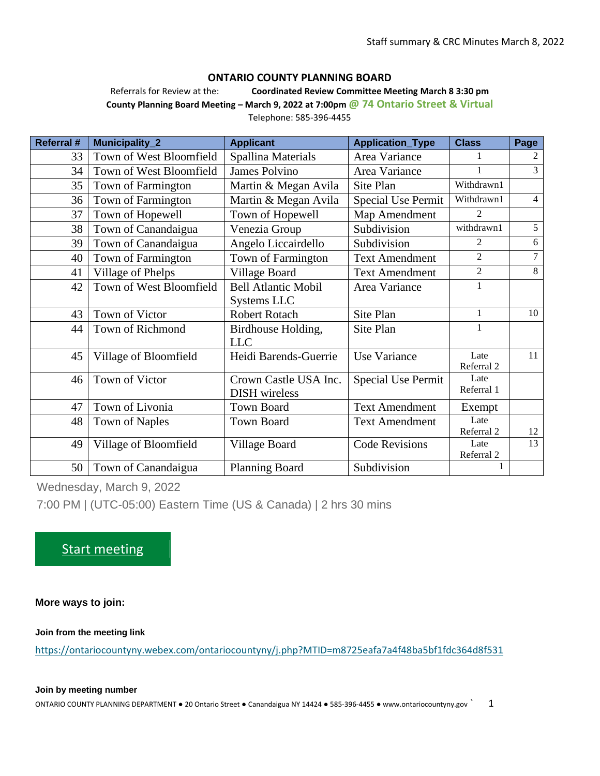#### **ONTARIO COUNTY PLANNING BOARD**

Referrals for Review at the: **Coordinated Review Committee Meeting March 8 3:30 pm County Planning Board Meeting – March 9, 2022 at 7:00pm @ 74 Ontario Street & Virtual**

Telephone: 585-396-4455

| <b>Referral #</b> | Municipality_2          | <b>Applicant</b>           | <b>Application_Type</b>   | <b>Class</b>       | Page           |
|-------------------|-------------------------|----------------------------|---------------------------|--------------------|----------------|
| 33                | Town of West Bloomfield | Spallina Materials         | Area Variance             |                    | 2              |
| 34                | Town of West Bloomfield | <b>James Polvino</b>       | Area Variance             |                    | 3              |
| 35                | Town of Farmington      | Martin & Megan Avila       | Site Plan                 | Withdrawn1         |                |
| 36                | Town of Farmington      | Martin & Megan Avila       | <b>Special Use Permit</b> | Withdrawn1         | $\overline{4}$ |
| 37                | Town of Hopewell        | Town of Hopewell           | Map Amendment             | $\overline{2}$     |                |
| 38                | Town of Canandaigua     | Venezia Group              | Subdivision               | withdrawn1         | 5              |
| 39                | Town of Canandaigua     | Angelo Liccairdello        | Subdivision               | 2                  | 6              |
| 40                | Town of Farmington      | Town of Farmington         | <b>Text Amendment</b>     | $\overline{2}$     | 7              |
| 41                | Village of Phelps       | Village Board              | <b>Text Amendment</b>     | $\overline{2}$     | 8              |
| 42                | Town of West Bloomfield | <b>Bell Atlantic Mobil</b> | Area Variance             | 1                  |                |
|                   |                         | Systems LLC                |                           |                    |                |
| 43                | Town of Victor          | <b>Robert Rotach</b>       | Site Plan                 | $\mathbf{1}$       | 10             |
| 44                | Town of Richmond        | Birdhouse Holding,         | Site Plan                 | 1                  |                |
|                   |                         | <b>LLC</b>                 |                           |                    |                |
| 45                | Village of Bloomfield   | Heidi Barends-Guerrie      | <b>Use Variance</b>       | Late               | 11             |
|                   |                         |                            |                           | Referral 2         |                |
| 46                | Town of Victor          | Crown Castle USA Inc.      | <b>Special Use Permit</b> | Late<br>Referral 1 |                |
|                   |                         | <b>DISH</b> wireless       |                           |                    |                |
| 47                | Town of Livonia         | <b>Town Board</b>          | <b>Text Amendment</b>     | Exempt             |                |
| 48                | <b>Town of Naples</b>   | <b>Town Board</b>          | <b>Text Amendment</b>     | Late               |                |
|                   |                         |                            |                           | Referral 2         | 12             |
| 49                | Village of Bloomfield   | Village Board              | <b>Code Revisions</b>     | Late               | 13             |
| 50                |                         |                            | Subdivision               | Referral 2         |                |
|                   | Town of Canandaigua     | <b>Planning Board</b>      |                           |                    |                |

Wednesday, March 9, 2022

7:00 PM | (UTC-05:00) Eastern Time (US & Canada) | 2 hrs 30 mins

# [Start meeting](https://ontariocountyny.webex.com/ontariocountyny/j.php?MTID=m8725eafa7a4f48ba5bf1fdc364d8f531)

**More ways to join:**

**Join from the meeting link**

<https://ontariocountyny.webex.com/ontariocountyny/j.php?MTID=m8725eafa7a4f48ba5bf1fdc364d8f531>

#### **Join by meeting number**

ONTARIO COUNTY PLANNING DEPARTMENT ● 20 Ontario Street ● Canandaigua NY 14424 ● 585-396-4455 ● www.ontariocountyny.gov ` 1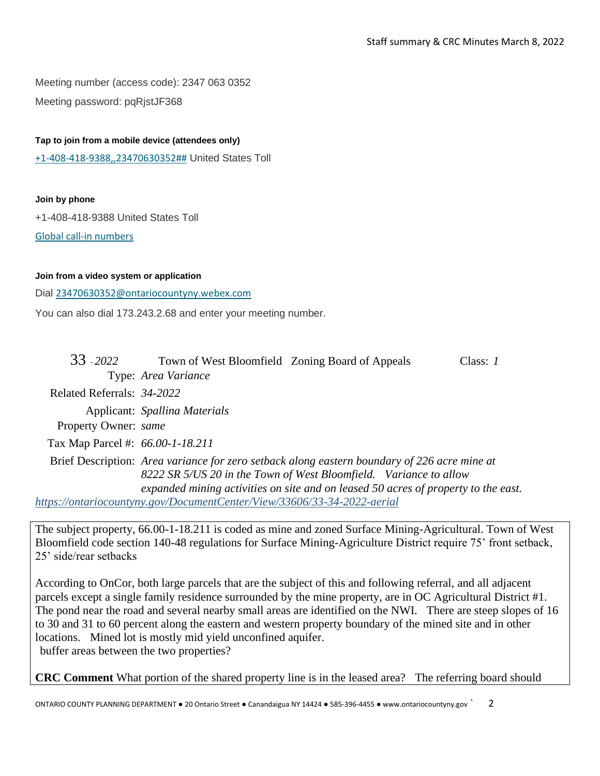Meeting number (access code): 2347 063 0352 Meeting password: pqRjstJF368

### **Tap to join from a mobile device (attendees only)**

[+1-408-418-9388,,23470630352##](tel:%2B1-408-418-9388,,*01*23470630352%23%23*01*) United States Toll

#### **Join by phone**

+1-408-418-9388 United States Toll

[Global call-in numbers](https://ontariocountyny.webex.com/ontariocountyny/globalcallin.php?MTID=m29c6bfad7041bdf8ccdc872e8ac895fe)

#### **Join from a video system or application**

Dial [23470630352@ontariocountyny.webex.com](%20sip:23470630352@ontariocountyny.webex.com)

You can also dial 173.243.2.68 and enter your meeting number.

| 33 - 2022                        | Town of West Bloomfield Zoning Board of Appeals                                              | Class: $I$ |  |
|----------------------------------|----------------------------------------------------------------------------------------------|------------|--|
|                                  | Type: Area Variance                                                                          |            |  |
| Related Referrals: 34-2022       |                                                                                              |            |  |
|                                  | Applicant: Spallina Materials                                                                |            |  |
| Property Owner: same             |                                                                                              |            |  |
| Tax Map Parcel #: 66.00-1-18.211 |                                                                                              |            |  |
|                                  | Brief Description: Area variance for zero setback along eastern boundary of 226 acre mine at |            |  |
|                                  | 8222 SR 5/US 20 in the Town of West Bloomfield. Variance to allow                            |            |  |
|                                  | expanded mining activities on site and on leased 50 acres of property to the east.           |            |  |
|                                  | https://ontariocountyny.gov/DocumentCenter/View/33606/33-34-2022-aerial                      |            |  |

The subject property, 66.00-1-18.211 is coded as mine and zoned Surface Mining-Agricultural. Town of West Bloomfield code section 140-48 regulations for Surface Mining-Agriculture District require 75' front setback, 25' side/rear setbacks

According to OnCor, both large parcels that are the subject of this and following referral, and all adjacent parcels except a single family residence surrounded by the mine property, are in OC Agricultural District #1. The pond near the road and several nearby small areas are identified on the NWI. There are steep slopes of 16 to 30 and 31 to 60 percent along the eastern and western property boundary of the mined site and in other locations. Mined lot is mostly mid yield unconfined aquifer. buffer areas between the two properties?

**CRC Comment** What portion of the shared property line is in the leased area? The referring board should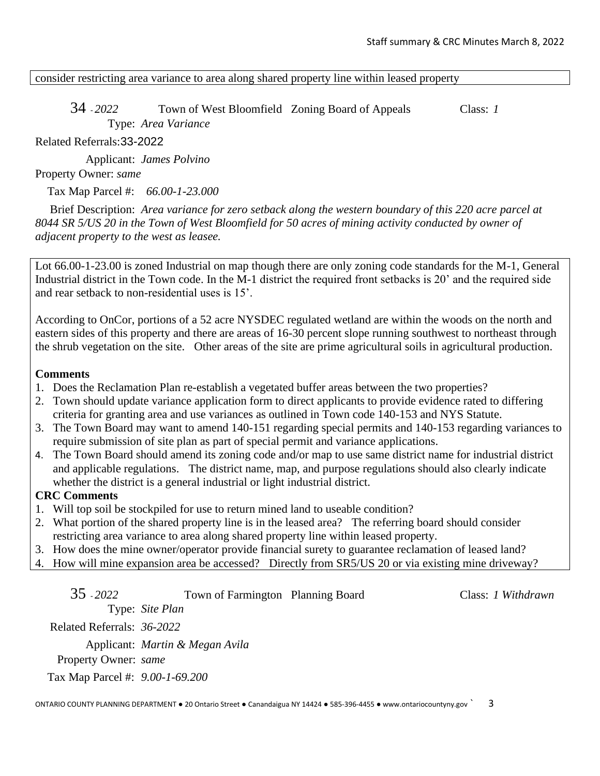consider restricting area variance to area along shared property line within leased property

34 - *2022* Town of West Bloomfield Zoning Board of Appeals Class: *1* Type: *Area Variance*

Related Referrals:33-2022

Applicant: *James Polvino*

## Property Owner: *same*

Tax Map Parcel #: *66.00-1-23.000*

Brief Description: *Area variance for zero setback along the western boundary of this 220 acre parcel at 8044 SR 5/US 20 in the Town of West Bloomfield for 50 acres of mining activity conducted by owner of adjacent property to the west as leasee.* 

Lot 66.00-1-23.00 is zoned Industrial on map though there are only zoning code standards for the M-1, General Industrial district in the Town code. In the M-1 district the required front setbacks is 20' and the required side and rear setback to non-residential uses is 15'.

According to OnCor, portions of a 52 acre NYSDEC regulated wetland are within the woods on the north and eastern sides of this property and there are areas of 16-30 percent slope running southwest to northeast through the shrub vegetation on the site. Other areas of the site are prime agricultural soils in agricultural production.

## **Comments**

- 1. Does the Reclamation Plan re-establish a vegetated buffer areas between the two properties?
- 2. Town should update variance application form to direct applicants to provide evidence rated to differing criteria for granting area and use variances as outlined in Town code 140-153 and NYS Statute.
- 3. The Town Board may want to amend 140-151 regarding special permits and 140-153 regarding variances to require submission of site plan as part of special permit and variance applications.
- 4. The Town Board should amend its zoning code and/or map to use same district name for industrial district and applicable regulations. The district name, map, and purpose regulations should also clearly indicate whether the district is a general industrial or light industrial district.

## **CRC Comments**

- 1. Will top soil be stockpiled for use to return mined land to useable condition?
- 2. What portion of the shared property line is in the leased area? The referring board should consider restricting area variance to area along shared property line within leased property.
- 3. How does the mine owner/operator provide financial surety to guarantee reclamation of leased land?
- 4. How will mine expansion area be accessed? Directly from SR5/US 20 or via existing mine driveway?

| $35 - 2022$                     | Town of Farmington Planning Board          | Class: 1 Withdrawn |
|---------------------------------|--------------------------------------------|--------------------|
|                                 | Type: Site Plan                            |                    |
| Related Referrals: 36-2022      |                                            |                    |
|                                 | Applicant: <i>Martin &amp; Megan Avila</i> |                    |
| Property Owner: same            |                                            |                    |
| Tax Map Parcel #: 9.00-1-69.200 |                                            |                    |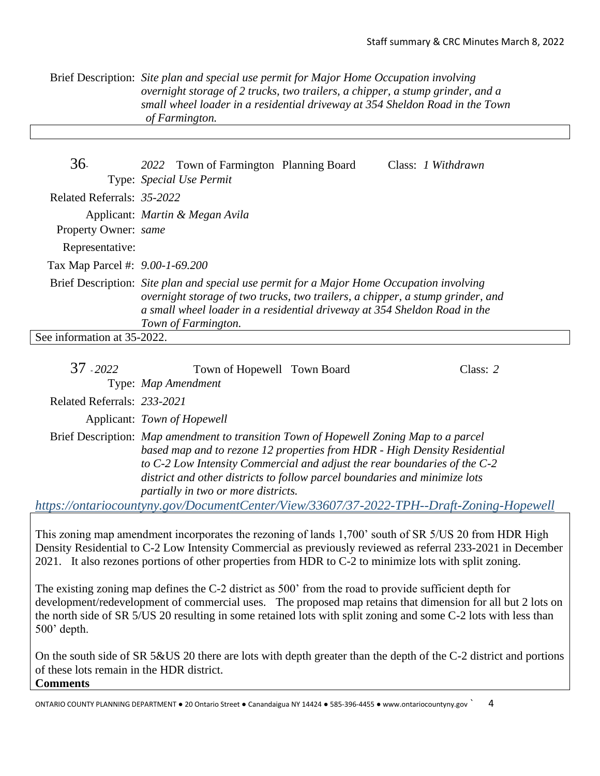Brief Description: *Site plan and special use permit for Major Home Occupation involving overnight storage of 2 trucks, two trailers, a chipper, a stump grinder, and a small wheel loader in a residential driveway at 354 Sheldon Road in the Town of Farmington.*

| 36.                             | 2022 Town of Farmington Planning Board                                                                                                                                                                                                                                          | Class: <i>I Withdrawn</i> |
|---------------------------------|---------------------------------------------------------------------------------------------------------------------------------------------------------------------------------------------------------------------------------------------------------------------------------|---------------------------|
|                                 | Type: Special Use Permit                                                                                                                                                                                                                                                        |                           |
| Related Referrals: 35-2022      |                                                                                                                                                                                                                                                                                 |                           |
|                                 | Applicant: <i>Martin &amp; Megan Avila</i>                                                                                                                                                                                                                                      |                           |
| Property Owner: same            |                                                                                                                                                                                                                                                                                 |                           |
| Representative:                 |                                                                                                                                                                                                                                                                                 |                           |
| Tax Map Parcel #: 9.00-1-69.200 |                                                                                                                                                                                                                                                                                 |                           |
|                                 | Brief Description: Site plan and special use permit for a Major Home Occupation involving<br>overnight storage of two trucks, two trailers, a chipper, a stump grinder, and<br>a small wheel loader in a residential driveway at 354 Sheldon Road in the<br>Town of Farmington. |                           |
| See information at 35-2022.     |                                                                                                                                                                                                                                                                                 |                           |

| 37 2022                     | Town of Hopewell Town Board         |                                                                                                                                                                                                                                                                                                                                | Class: $2$ |
|-----------------------------|-------------------------------------|--------------------------------------------------------------------------------------------------------------------------------------------------------------------------------------------------------------------------------------------------------------------------------------------------------------------------------|------------|
|                             | Type: Map Amendment                 |                                                                                                                                                                                                                                                                                                                                |            |
| Related Referrals: 233-2021 |                                     |                                                                                                                                                                                                                                                                                                                                |            |
|                             | Applicant: Town of Hopewell         |                                                                                                                                                                                                                                                                                                                                |            |
|                             | partially in two or more districts. | Brief Description: Map amendment to transition Town of Hopewell Zoning Map to a parcel<br>based map and to rezone 12 properties from HDR - High Density Residential<br>to C-2 Low Intensity Commercial and adjust the rear boundaries of the C-2<br>district and other districts to follow parcel boundaries and minimize lots |            |
|                             |                                     | https://ontariocountyny.gov/DocumentCenter/View/33607/37-2022-TPH--Draft-Zoning-Hopewell                                                                                                                                                                                                                                       |            |

This zoning map amendment incorporates the rezoning of lands 1,700' south of SR 5/US 20 from HDR High Density Residential to C-2 Low Intensity Commercial as previously reviewed as referral 233-2021 in December 2021. It also rezones portions of other properties from HDR to C-2 to minimize lots with split zoning.

The existing zoning map defines the C-2 district as 500' from the road to provide sufficient depth for development/redevelopment of commercial uses. The proposed map retains that dimension for all but 2 lots on the north side of SR 5/US 20 resulting in some retained lots with split zoning and some C-2 lots with less than 500' depth.

On the south side of SR 5&US 20 there are lots with depth greater than the depth of the C-2 district and portions of these lots remain in the HDR district. **Comments**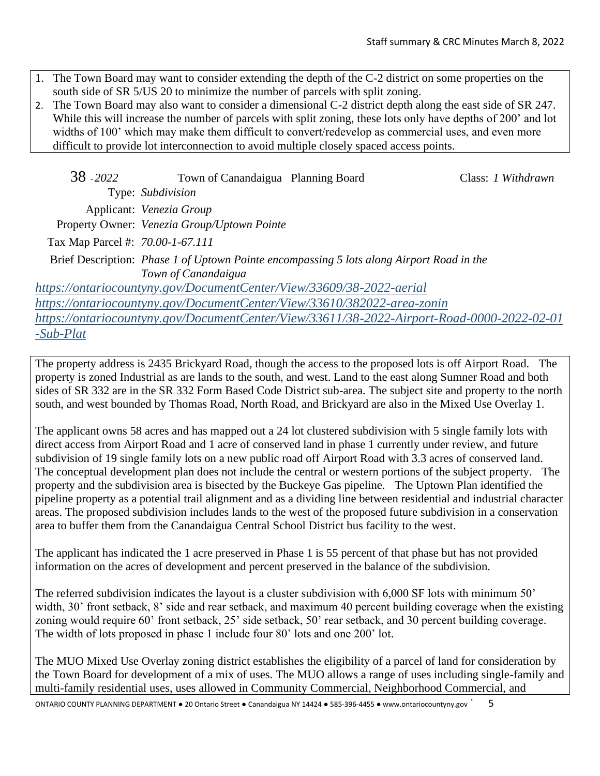- 1. The Town Board may want to consider extending the depth of the C-2 district on some properties on the south side of SR 5/US 20 to minimize the number of parcels with split zoning.
- 2. The Town Board may also want to consider a dimensional C-2 district depth along the east side of SR 247. While this will increase the number of parcels with split zoning, these lots only have depths of 200' and lot widths of 100' which may make them difficult to convert/redevelop as commercial uses, and even more difficult to provide lot interconnection to avoid multiple closely spaced access points.

| 38 - 2022                        | Town of Canandaigua Planning Board                                   |                                                                                            | Class: 1 Withdrawn |
|----------------------------------|----------------------------------------------------------------------|--------------------------------------------------------------------------------------------|--------------------|
|                                  | Type: Subdivision                                                    |                                                                                            |                    |
|                                  | Applicant: Venezia Group                                             |                                                                                            |                    |
|                                  | Property Owner: Venezia Group/Uptown Pointe                          |                                                                                            |                    |
| Tax Map Parcel #: 70.00-1-67.111 |                                                                      |                                                                                            |                    |
|                                  | Town of Canandaigua                                                  | Brief Description: Phase 1 of Uptown Pointe encompassing 5 lots along Airport Road in the  |                    |
|                                  | https://ontariocountyny.gov/DocumentCenter/View/33609/38-2022-aerial |                                                                                            |                    |
|                                  |                                                                      | https://ontariocountyny.gov/DocumentCenter/View/33610/382022-area-zonin                    |                    |
|                                  |                                                                      | https://ontariocountyny.gov/DocumentCenter/View/33611/38-2022-Airport-Road-0000-2022-02-01 |                    |
| $-Sub-Plat$                      |                                                                      |                                                                                            |                    |

The property address is 2435 Brickyard Road, though the access to the proposed lots is off Airport Road. The property is zoned Industrial as are lands to the south, and west. Land to the east along Sumner Road and both sides of SR 332 are in the SR 332 Form Based Code District sub-area. The subject site and property to the north south, and west bounded by Thomas Road, North Road, and Brickyard are also in the Mixed Use Overlay 1.

The applicant owns 58 acres and has mapped out a 24 lot clustered subdivision with 5 single family lots with direct access from Airport Road and 1 acre of conserved land in phase 1 currently under review, and future subdivision of 19 single family lots on a new public road off Airport Road with 3.3 acres of conserved land. The conceptual development plan does not include the central or western portions of the subject property. The property and the subdivision area is bisected by the Buckeye Gas pipeline. The Uptown Plan identified the pipeline property as a potential trail alignment and as a dividing line between residential and industrial character areas. The proposed subdivision includes lands to the west of the proposed future subdivision in a conservation area to buffer them from the Canandaigua Central School District bus facility to the west.

The applicant has indicated the 1 acre preserved in Phase 1 is 55 percent of that phase but has not provided information on the acres of development and percent preserved in the balance of the subdivision.

The referred subdivision indicates the layout is a cluster subdivision with 6,000 SF lots with minimum 50' width, 30' front setback, 8' side and rear setback, and maximum 40 percent building coverage when the existing zoning would require 60' front setback, 25' side setback, 50' rear setback, and 30 percent building coverage. The width of lots proposed in phase 1 include four 80' lots and one 200' lot.

The MUO Mixed Use Overlay zoning district establishes the eligibility of a parcel of land for consideration by the Town Board for development of a mix of uses. The MUO allows a range of uses including single-family and multi-family residential uses, uses allowed in Community Commercial, Neighborhood Commercial, and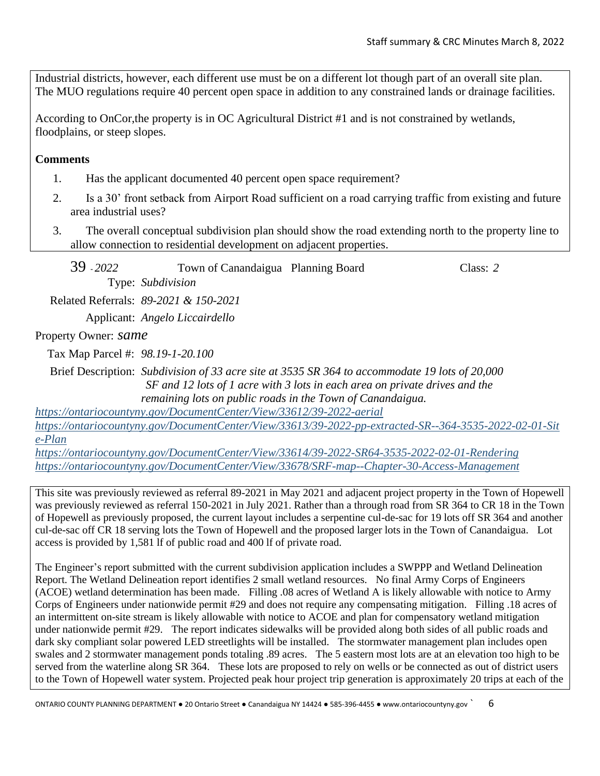Industrial districts, however, each different use must be on a different lot though part of an overall site plan. The MUO regulations require 40 percent open space in addition to any constrained lands or drainage facilities.

According to OnCor,the property is in OC Agricultural District #1 and is not constrained by wetlands, floodplains, or steep slopes.

**Comments**

- 1. Has the applicant documented 40 percent open space requirement?
- 2. Is a 30' front setback from Airport Road sufficient on a road carrying traffic from existing and future area industrial uses?
- 3. The overall conceptual subdivision plan should show the road extending north to the property line to allow connection to residential development on adjacent properties.

39 - *2022* Town of Canandaigua Planning Board Class: *2* Type: *Subdivision* Related Referrals: *89-2021 & 150-2021* Applicant: *Angelo Liccairdello*

Property Owner: *same*

Tax Map Parcel #: *98.19-1-20.100*

Brief Description: *Subdivision of 33 acre site at 3535 SR 364 to accommodate 19 lots of 20,000 SF and 12 lots of 1 acre with 3 lots in each area on private drives and the remaining lots on public roads in the Town of Canandaigua.*

*<https://ontariocountyny.gov/DocumentCenter/View/33612/39-2022-aerial> [https://ontariocountyny.gov/DocumentCenter/View/33613/39-2022-pp-extracted-SR--364-3535-2022-02-01-Sit](https://ontariocountyny.gov/DocumentCenter/View/33613/39-2022-pp-extracted-SR--364-3535-2022-02-01-Site-Plan) [e-Plan](https://ontariocountyny.gov/DocumentCenter/View/33613/39-2022-pp-extracted-SR--364-3535-2022-02-01-Site-Plan)*

*<https://ontariocountyny.gov/DocumentCenter/View/33614/39-2022-SR64-3535-2022-02-01-Rendering> <https://ontariocountyny.gov/DocumentCenter/View/33678/SRF-map--Chapter-30-Access-Management>*

This site was previously reviewed as referral 89-2021 in May 2021 and adjacent project property in the Town of Hopewell was previously reviewed as referral 150-2021 in July 2021. Rather than a through road from SR 364 to CR 18 in the Town of Hopewell as previously proposed, the current layout includes a serpentine cul-de-sac for 19 lots off SR 364 and another cul-de-sac off CR 18 serving lots the Town of Hopewell and the proposed larger lots in the Town of Canandaigua. Lot access is provided by 1,581 lf of public road and 400 lf of private road.

The Engineer's report submitted with the current subdivision application includes a SWPPP and Wetland Delineation Report. The Wetland Delineation report identifies 2 small wetland resources. No final Army Corps of Engineers (ACOE) wetland determination has been made. Filling .08 acres of Wetland A is likely allowable with notice to Army Corps of Engineers under nationwide permit #29 and does not require any compensating mitigation. Filling .18 acres of an intermittent on-site stream is likely allowable with notice to ACOE and plan for compensatory wetland mitigation under nationwide permit #29. The report indicates sidewalks will be provided along both sides of all public roads and dark sky compliant solar powered LED streetlights will be installed. The stormwater management plan includes open swales and 2 stormwater management ponds totaling .89 acres. The 5 eastern most lots are at an elevation too high to be served from the waterline along SR 364. These lots are proposed to rely on wells or be connected as out of district users to the Town of Hopewell water system. Projected peak hour project trip generation is approximately 20 trips at each of the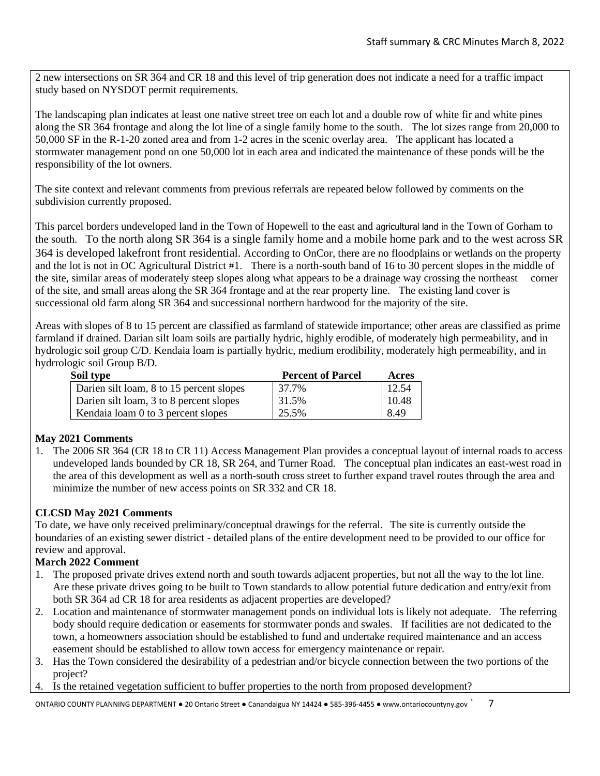2 new intersections on SR 364 and CR 18 and this level of trip generation does not indicate a need for a traffic impact study based on NYSDOT permit requirements.

The landscaping plan indicates at least one native street tree on each lot and a double row of white fir and white pines along the SR 364 frontage and along the lot line of a single family home to the south. The lot sizes range from 20,000 to 50,000 SF in the R-1-20 zoned area and from 1-2 acres in the scenic overlay area. The applicant has located a stormwater management pond on one 50,000 lot in each area and indicated the maintenance of these ponds will be the responsibility of the lot owners.

The site context and relevant comments from previous referrals are repeated below followed by comments on the subdivision currently proposed.

This parcel borders undeveloped land in the Town of Hopewell to the east and agricultural land in the Town of Gorham to the south. To the north along SR 364 is a single family home and a mobile home park and to the west across SR 364 is developed lakefront front residential. According to OnCor, there are no floodplains or wetlands on the property and the lot is not in OC Agricultural District #1. There is a north-south band of 16 to 30 percent slopes in the middle of the site, similar areas of moderately steep slopes along what appears to be a drainage way crossing the northeast corner of the site, and small areas along the SR 364 frontage and at the rear property line. The existing land cover is successional old farm along SR 364 and successional northern hardwood for the majority of the site.

Areas with slopes of 8 to 15 percent are classified as farmland of statewide importance; other areas are classified as prime farmland if drained. Darian silt loam soils are partially hydric, highly erodible, of moderately high permeability, and in hydrologic soil group C/D. Kendaia loam is partially hydric, medium erodibility, moderately high permeability, and in hydrrologic soil Group B/D.

| Soil type                                | <b>Percent of Parcel</b> | Acres |
|------------------------------------------|--------------------------|-------|
| Darien silt loam, 8 to 15 percent slopes | 37.7%                    | 12.54 |
| Darien silt loam, 3 to 8 percent slopes  | 31.5%                    | 10.48 |
| Kendaia loam 0 to 3 percent slopes       | 25.5%                    | 8.49  |

### **May 2021 Comments**

1. The 2006 SR 364 (CR 18 to CR 11) Access Management Plan provides a conceptual layout of internal roads to access undeveloped lands bounded by CR 18, SR 264, and Turner Road. The conceptual plan indicates an east-west road in the area of this development as well as a north-south cross street to further expand travel routes through the area and minimize the number of new access points on SR 332 and CR 18.

### **CLCSD May 2021 Comments**

To date, we have only received preliminary/conceptual drawings for the referral. The site is currently outside the boundaries of an existing sewer district - detailed plans of the entire development need to be provided to our office for review and approval.

#### **March 2022 Comment**

- 1. The proposed private drives extend north and south towards adjacent properties, but not all the way to the lot line. Are these private drives going to be built to Town standards to allow potential future dedication and entry/exit from both SR 364 ad CR 18 for area residents as adjacent properties are developed?
- 2. Location and maintenance of stormwater management ponds on individual lots is likely not adequate. The referring body should require dedication or easements for stormwater ponds and swales. If facilities are not dedicated to the town, a homeowners association should be established to fund and undertake required maintenance and an access easement should be established to allow town access for emergency maintenance or repair.
- 3. Has the Town considered the desirability of a pedestrian and/or bicycle connection between the two portions of the project?
- 4. Is the retained vegetation sufficient to buffer properties to the north from proposed development?

ONTARIO COUNTY PLANNING DEPARTMENT ● 20 Ontario Street ● Canandaigua NY 14424 ● 585-396-4455 ● www.ontariocountyny.gov ` 7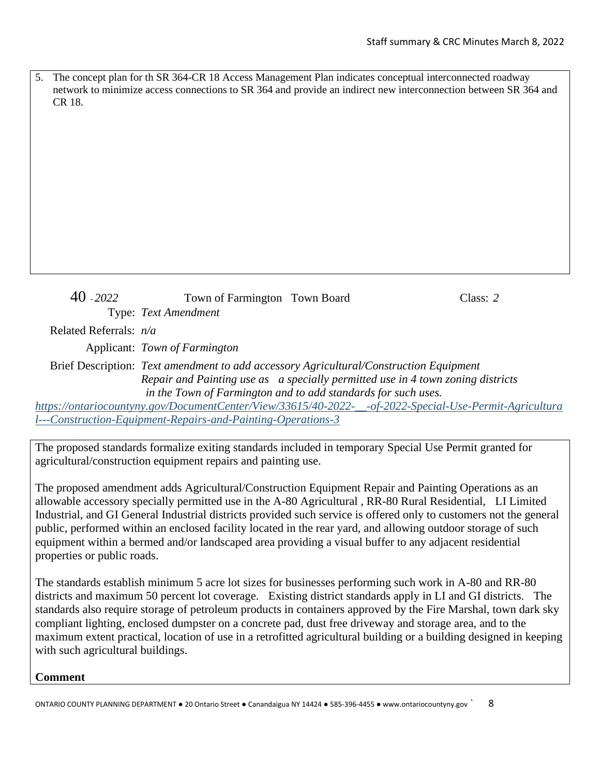The concept plan for th SR 364-CR 18 Access Management Plan indicates conceptual interconnected roadway network to minimize access connections to SR 364 and provide an indirect new interconnection between SR 364 and CR 18.

```
40 - 2022 Town of Farmington Town Board Class: 2
          Type: Text Amendment
Related Referrals: n/a
      Applicant: Town of Farmington
Brief Description: Text amendment to add accessory Agricultural/Construction Equipment 
                Repair and Painting use as a specially permitted use in 4 town zoning districts
```
*in the Town of Farmington and to add standards for such uses. [https://ontariocountyny.gov/DocumentCenter/View/33615/40-2022-\\_\\_-of-2022-Special-Use-Permit-Agricultura](https://ontariocountyny.gov/DocumentCenter/View/33615/40-2022-__-of-2022-Special-Use-Permit-Agricultural---Construction-Equipment-Repairs-and-Painting-Operations-3) [l---Construction-Equipment-Repairs-and-Painting-Operations-3](https://ontariocountyny.gov/DocumentCenter/View/33615/40-2022-__-of-2022-Special-Use-Permit-Agricultural---Construction-Equipment-Repairs-and-Painting-Operations-3)*

The proposed standards formalize exiting standards included in temporary Special Use Permit granted for agricultural/construction equipment repairs and painting use.

The proposed amendment adds Agricultural/Construction Equipment Repair and Painting Operations as an allowable accessory specially permitted use in the A-80 Agricultural , RR-80 Rural Residential, LI Limited Industrial, and GI General Industrial districts provided such service is offered only to customers not the general public, performed within an enclosed facility located in the rear yard, and allowing outdoor storage of such equipment within a bermed and/or landscaped area providing a visual buffer to any adjacent residential properties or public roads.

The standards establish minimum 5 acre lot sizes for businesses performing such work in A-80 and RR-80 districts and maximum 50 percent lot coverage. Existing district standards apply in LI and GI districts. The standards also require storage of petroleum products in containers approved by the Fire Marshal, town dark sky compliant lighting, enclosed dumpster on a concrete pad, dust free driveway and storage area, and to the maximum extent practical, location of use in a retrofitted agricultural building or a building designed in keeping with such agricultural buildings.

**Comment**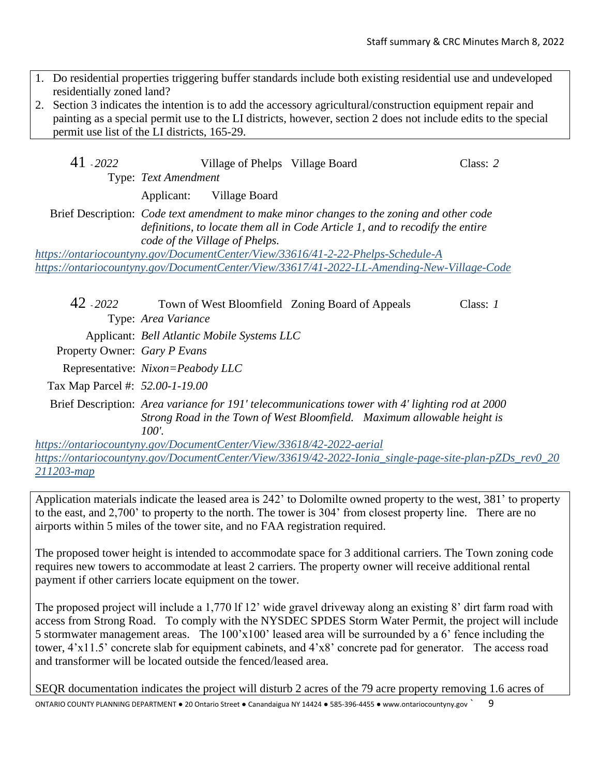- 1. Do residential properties triggering buffer standards include both existing residential use and undeveloped residentially zoned land?
- 2. Section 3 indicates the intention is to add the accessory agricultural/construction equipment repair and painting as a special permit use to the LI districts, however, section 2 does not include edits to the special permit use list of the LI districts, 165-29.

| 41 - 2022 |                      | Village of Phelps Village Board |  | Class: 2 |
|-----------|----------------------|---------------------------------|--|----------|
|           | Type: Text Amendment |                                 |  |          |
|           |                      | Applicant: Village Board        |  |          |

Brief Description: *Code text amendment to make minor changes to the zoning and other code definitions, to locate them all in Code Article 1, and to recodify the entire code of the Village of Phelps.*

*<https://ontariocountyny.gov/DocumentCenter/View/33616/41-2-22-Phelps-Schedule-A> <https://ontariocountyny.gov/DocumentCenter/View/33617/41-2022-LL-Amending-New-Village-Code>*

42 - *2022* Town of West Bloomfield Zoning Board of Appeals Class: *1* Type: *Area Variance* Applicant: *Bell Atlantic Mobile Systems LLC* Property Owner: *Gary P Evans* Representative: *Nixon=Peabody LLC* Tax Map Parcel #: *52.00-1-19.00* Brief Description: *Area variance for 191' telecommunications tower with 4' lighting rod at 2000 Strong Road in the Town of West Bloomfield. Maximum allowable height is 100'. <https://ontariocountyny.gov/DocumentCenter/View/33618/42-2022-aerial>*

*[https://ontariocountyny.gov/DocumentCenter/View/33619/42-2022-Ionia\\_single-page-site-plan-pZDs\\_rev0\\_20](https://ontariocountyny.gov/DocumentCenter/View/33619/42-2022-Ionia_single-page-site-plan-pZDs_rev0_20211203-map) [211203-map](https://ontariocountyny.gov/DocumentCenter/View/33619/42-2022-Ionia_single-page-site-plan-pZDs_rev0_20211203-map)*

Application materials indicate the leased area is 242' to Dolomilte owned property to the west, 381' to property to the east, and 2,700' to property to the north. The tower is 304' from closest property line. There are no airports within 5 miles of the tower site, and no FAA registration required.

The proposed tower height is intended to accommodate space for 3 additional carriers. The Town zoning code requires new towers to accommodate at least 2 carriers. The property owner will receive additional rental payment if other carriers locate equipment on the tower.

The proposed project will include a 1,770 lf 12' wide gravel driveway along an existing 8' dirt farm road with access from Strong Road. To comply with the NYSDEC SPDES Storm Water Permit, the project will include 5 stormwater management areas. The 100'x100' leased area will be surrounded by a 6' fence including the tower, 4'x11.5' concrete slab for equipment cabinets, and 4'x8' concrete pad for generator. The access road and transformer will be located outside the fenced/leased area.

SEQR documentation indicates the project will disturb 2 acres of the 79 acre property removing 1.6 acres of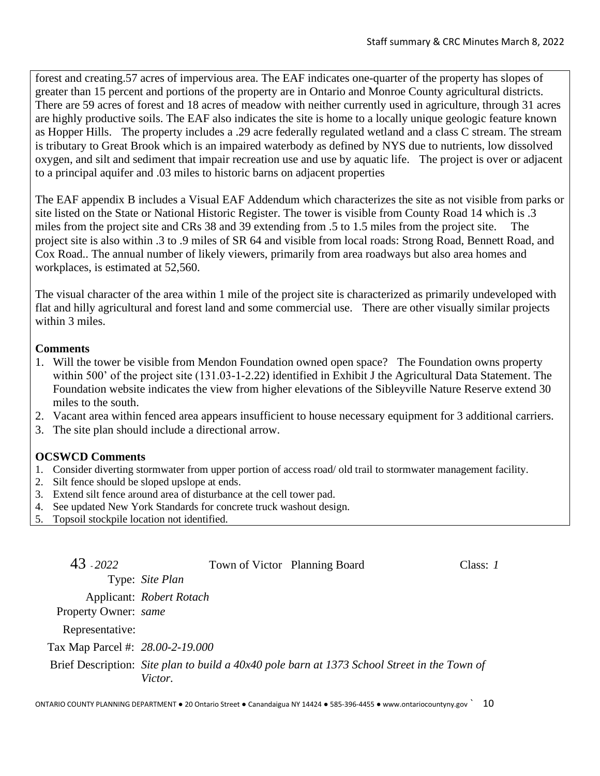forest and creating.57 acres of impervious area. The EAF indicates one-quarter of the property has slopes of greater than 15 percent and portions of the property are in Ontario and Monroe County agricultural districts. There are 59 acres of forest and 18 acres of meadow with neither currently used in agriculture, through 31 acres are highly productive soils. The EAF also indicates the site is home to a locally unique geologic feature known as Hopper Hills. The property includes a .29 acre federally regulated wetland and a class C stream. The stream is tributary to Great Brook which is an impaired waterbody as defined by NYS due to nutrients, low dissolved oxygen, and silt and sediment that impair recreation use and use by aquatic life. The project is over or adjacent to a principal aquifer and .03 miles to historic barns on adjacent properties

The EAF appendix B includes a Visual EAF Addendum which characterizes the site as not visible from parks or site listed on the State or National Historic Register. The tower is visible from County Road 14 which is .3 miles from the project site and CRs 38 and 39 extending from .5 to 1.5 miles from the project site. The project site is also within .3 to .9 miles of SR 64 and visible from local roads: Strong Road, Bennett Road, and Cox Road.. The annual number of likely viewers, primarily from area roadways but also area homes and workplaces, is estimated at 52,560.

The visual character of the area within 1 mile of the project site is characterized as primarily undeveloped with flat and hilly agricultural and forest land and some commercial use. There are other visually similar projects within 3 miles.

# **Comments**

- 1. Will the tower be visible from Mendon Foundation owned open space? The Foundation owns property within 500' of the project site (131.03-1-2.22) identified in Exhibit J the Agricultural Data Statement. The Foundation website indicates the view from higher elevations of the Sibleyville Nature Reserve extend 30 miles to the south.
- 2. Vacant area within fenced area appears insufficient to house necessary equipment for 3 additional carriers.
- 3. The site plan should include a directional arrow.

# **OCSWCD Comments**

- 1. Consider diverting stormwater from upper portion of access road/ old trail to stormwater management facility.
- 2. Silt fence should be sloped upslope at ends.
- 3. Extend silt fence around area of disturbance at the cell tower pad.
- 4. See updated New York Standards for concrete truck washout design.
- 5. Topsoil stockpile location not identified.

| 43 - 2022                        | Town of Victor Planning Board                                                                           | Class: $I$ |
|----------------------------------|---------------------------------------------------------------------------------------------------------|------------|
|                                  | Type: Site Plan                                                                                         |            |
|                                  | Applicant: Robert Rotach                                                                                |            |
| Property Owner: same             |                                                                                                         |            |
| Representative:                  |                                                                                                         |            |
| Tax Map Parcel #: 28.00-2-19.000 |                                                                                                         |            |
|                                  | Brief Description: Site plan to build a 40x40 pole barn at 1373 School Street in the Town of<br>Victor. |            |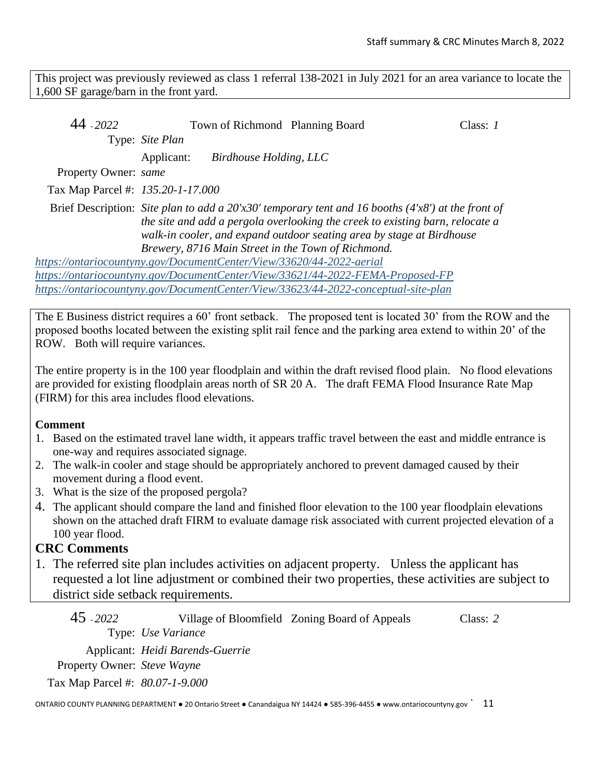This project was previously reviewed as class 1 referral 138-2021 in July 2021 for an area variance to locate the 1,600 SF garage/barn in the front yard.

| 44 - 2022                                                            |                                                                                                                                                                                                                                                                |                        | Town of Richmond Planning Board                                                    | Class: 1 |  |  |
|----------------------------------------------------------------------|----------------------------------------------------------------------------------------------------------------------------------------------------------------------------------------------------------------------------------------------------------------|------------------------|------------------------------------------------------------------------------------|----------|--|--|
|                                                                      | Type: Site Plan                                                                                                                                                                                                                                                |                        |                                                                                    |          |  |  |
|                                                                      | Applicant:                                                                                                                                                                                                                                                     | Birdhouse Holding, LLC |                                                                                    |          |  |  |
| Property Owner: same                                                 |                                                                                                                                                                                                                                                                |                        |                                                                                    |          |  |  |
| Tax Map Parcel #: 135.20-1-17.000                                    |                                                                                                                                                                                                                                                                |                        |                                                                                    |          |  |  |
|                                                                      | Brief Description: Site plan to add a $20'x30'$ temporary tent and 16 booths (4'x8') at the front of<br>the site and add a pergola overlooking the creek to existing barn, relocate a<br>walk-in cooler, and expand outdoor seating area by stage at Birdhouse |                        |                                                                                    |          |  |  |
|                                                                      |                                                                                                                                                                                                                                                                |                        | Brewery, 8716 Main Street in the Town of Richmond.                                 |          |  |  |
| https://ontariocountyny.gov/DocumentCenter/View/33620/44-2022-aerial |                                                                                                                                                                                                                                                                |                        |                                                                                    |          |  |  |
|                                                                      |                                                                                                                                                                                                                                                                |                        | https://ontariocountyny.gov/DocumentCenter/View/33621/44-2022-FEMA-Proposed-FP     |          |  |  |
|                                                                      |                                                                                                                                                                                                                                                                |                        | https://ontariocountyny.gov/DocumentCenter/View/33623/44-2022-conceptual-site-plan |          |  |  |

The E Business district requires a 60' front setback. The proposed tent is located 30' from the ROW and the proposed booths located between the existing split rail fence and the parking area extend to within 20' of the ROW. Both will require variances.

The entire property is in the 100 year floodplain and within the draft revised flood plain. No flood elevations are provided for existing floodplain areas north of SR 20 A. The draft FEMA Flood Insurance Rate Map (FIRM) for this area includes flood elevations.

## **Comment**

- 1. Based on the estimated travel lane width, it appears traffic travel between the east and middle entrance is one-way and requires associated signage.
- 2. The walk-in cooler and stage should be appropriately anchored to prevent damaged caused by their movement during a flood event.
- 3. What is the size of the proposed pergola?
- 4. The applicant should compare the land and finished floor elevation to the 100 year floodplain elevations shown on the attached draft FIRM to evaluate damage risk associated with current projected elevation of a 100 year flood.

# **CRC Comments**

1. The referred site plan includes activities on adjacent property. Unless the applicant has requested a lot line adjustment or combined their two properties, these activities are subject to district side setback requirements.

45 - *2022* Village of Bloomfield Zoning Board of Appeals Class: *2* Type: *Use Variance* Applicant: *Heidi Barends-Guerrie* Property Owner: *Steve Wayne*

Tax Map Parcel #: *80.07-1-9.000*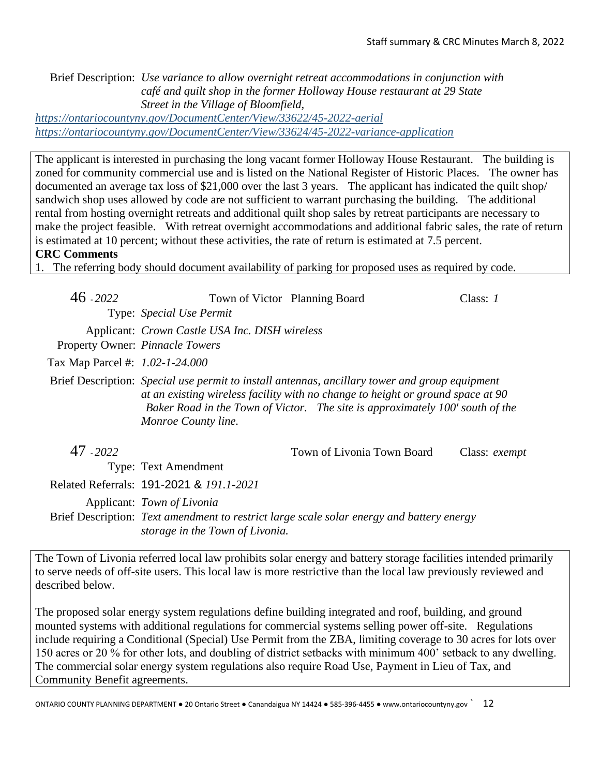Brief Description: *Use variance to allow overnight retreat accommodations in conjunction with café and quilt shop in the former Holloway House restaurant at 29 State Street in the Village of Bloomfield, <https://ontariocountyny.gov/DocumentCenter/View/33622/45-2022-aerial>*

*<https://ontariocountyny.gov/DocumentCenter/View/33624/45-2022-variance-application>*

The applicant is interested in purchasing the long vacant former Holloway House Restaurant. The building is zoned for community commercial use and is listed on the National Register of Historic Places. The owner has documented an average tax loss of \$21,000 over the last 3 years. The applicant has indicated the quilt shop/ sandwich shop uses allowed by code are not sufficient to warrant purchasing the building. The additional rental from hosting overnight retreats and additional quilt shop sales by retreat participants are necessary to make the project feasible. With retreat overnight accommodations and additional fabric sales, the rate of return is estimated at 10 percent; without these activities, the rate of return is estimated at 7.5 percent.

## **CRC Comments**

1. The referring body should document availability of parking for proposed uses as required by code.

| $46 - 2022$                     | Town of Victor Planning Board                  |                                                                                                                                                                                                                                                                    | Class: $I$           |
|---------------------------------|------------------------------------------------|--------------------------------------------------------------------------------------------------------------------------------------------------------------------------------------------------------------------------------------------------------------------|----------------------|
|                                 | Type: <i>Special Use Permit</i>                |                                                                                                                                                                                                                                                                    |                      |
|                                 | Applicant: Crown Castle USA Inc. DISH wireless |                                                                                                                                                                                                                                                                    |                      |
|                                 | Property Owner: Pinnacle Towers                |                                                                                                                                                                                                                                                                    |                      |
| Tax Map Parcel #: 1.02-1-24.000 |                                                |                                                                                                                                                                                                                                                                    |                      |
|                                 | Monroe County line.                            | Brief Description: Special use permit to install antennas, ancillary tower and group equipment<br>at an existing wireless facility with no change to height or ground space at 90<br>Baker Road in the Town of Victor. The site is approximately 100' south of the |                      |
| 47 - 2022                       |                                                | Town of Livonia Town Board                                                                                                                                                                                                                                         | Class: <i>exempt</i> |
|                                 | <b>Type: Text Amendment</b>                    |                                                                                                                                                                                                                                                                    |                      |
|                                 | Related Referrals: 191-2021 & 191.1-2021       |                                                                                                                                                                                                                                                                    |                      |
|                                 | Applicant: Town of Livonia                     |                                                                                                                                                                                                                                                                    |                      |
|                                 |                                                | Brief Description: Text amendment to restrict large scale solar energy and battery energy                                                                                                                                                                          |                      |

*storage in the Town of Livonia.*

The Town of Livonia referred local law prohibits solar energy and battery storage facilities intended primarily to serve needs of off-site users. This local law is more restrictive than the local law previously reviewed and described below.

The proposed solar energy system regulations define building integrated and roof, building, and ground mounted systems with additional regulations for commercial systems selling power off-site. Regulations include requiring a Conditional (Special) Use Permit from the ZBA, limiting coverage to 30 acres for lots over 150 acres or 20 % for other lots, and doubling of district setbacks with minimum 400' setback to any dwelling. The commercial solar energy system regulations also require Road Use, Payment in Lieu of Tax, and Community Benefit agreements.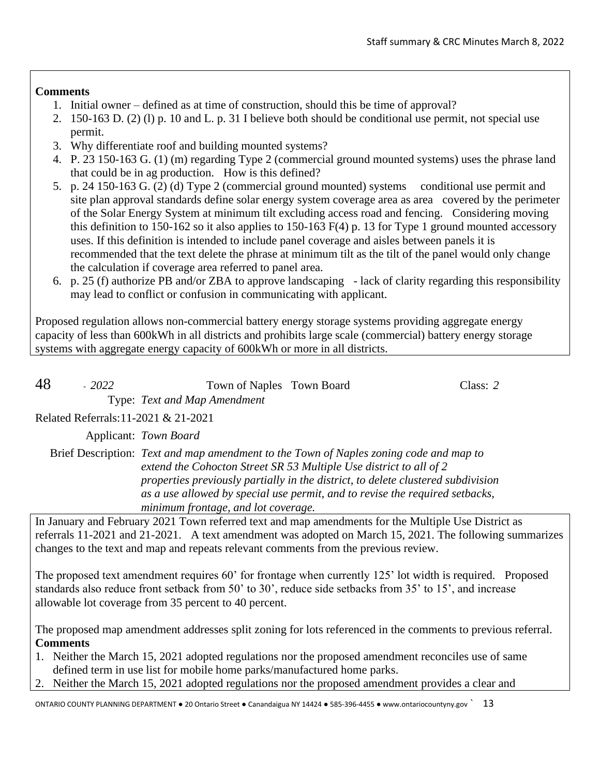## **Comments**

- 1. Initial owner defined as at time of construction, should this be time of approval?
- 2. 150-163 D. (2) (l) p. 10 and L. p. 31 I believe both should be conditional use permit, not special use permit.
- 3. Why differentiate roof and building mounted systems?
- 4. P. 23 150-163 G. (1) (m) regarding Type 2 (commercial ground mounted systems) uses the phrase land that could be in ag production. How is this defined?
- 5. p. 24 150-163 G. (2) (d) Type 2 (commercial ground mounted) systems conditional use permit and site plan approval standards define solar energy system coverage area as area covered by the perimeter of the Solar Energy System at minimum tilt excluding access road and fencing. Considering moving this definition to 150-162 so it also applies to 150-163 F(4) p. 13 for Type 1 ground mounted accessory uses. If this definition is intended to include panel coverage and aisles between panels it is recommended that the text delete the phrase at minimum tilt as the tilt of the panel would only change the calculation if coverage area referred to panel area.
- 6. p. 25 (f) authorize PB and/or ZBA to approve landscaping lack of clarity regarding this responsibility may lead to conflict or confusion in communicating with applicant.

Proposed regulation allows non-commercial battery energy storage systems providing aggregate energy capacity of less than 600kWh in all districts and prohibits large scale (commercial) battery energy storage systems with aggregate energy capacity of 600kWh or more in all districts.

| 48<br>$-2022$                        | Town of Naples Town Board           |                                                                                                                                                                                                                                                                                                                                  | Class: $2$ |
|--------------------------------------|-------------------------------------|----------------------------------------------------------------------------------------------------------------------------------------------------------------------------------------------------------------------------------------------------------------------------------------------------------------------------------|------------|
|                                      | Type: Text and Map Amendment        |                                                                                                                                                                                                                                                                                                                                  |            |
| Related Referrals: 11-2021 & 21-2021 |                                     |                                                                                                                                                                                                                                                                                                                                  |            |
|                                      | Applicant: Town Board               |                                                                                                                                                                                                                                                                                                                                  |            |
|                                      | minimum frontage, and lot coverage. | Brief Description: Text and map amendment to the Town of Naples zoning code and map to<br>extend the Cohocton Street SR 53 Multiple Use district to all of 2<br>properties previously partially in the district, to delete clustered subdivision<br>as a use allowed by special use permit, and to revise the required setbacks, |            |
|                                      |                                     | In January and February 2021 Town referred text and map amendments for the Multiple Use District as                                                                                                                                                                                                                              |            |
|                                      |                                     | referrals 11-2021 and 21-2021 A text amendment was adopted on March 15, 2021. The following summ                                                                                                                                                                                                                                 |            |

21-2021. A text amendment was adopted on March 15, 2021. The following summarizes changes to the text and map and repeats relevant comments from the previous review.

The proposed text amendment requires 60' for frontage when currently 125' lot width is required. Proposed standards also reduce front setback from 50' to 30', reduce side setbacks from 35' to 15', and increase allowable lot coverage from 35 percent to 40 percent.

The proposed map amendment addresses split zoning for lots referenced in the comments to previous referral. **Comments**

- 1. Neither the March 15, 2021 adopted regulations nor the proposed amendment reconciles use of same defined term in use list for mobile home parks/manufactured home parks.
- 2. Neither the March 15, 2021 adopted regulations nor the proposed amendment provides a clear and